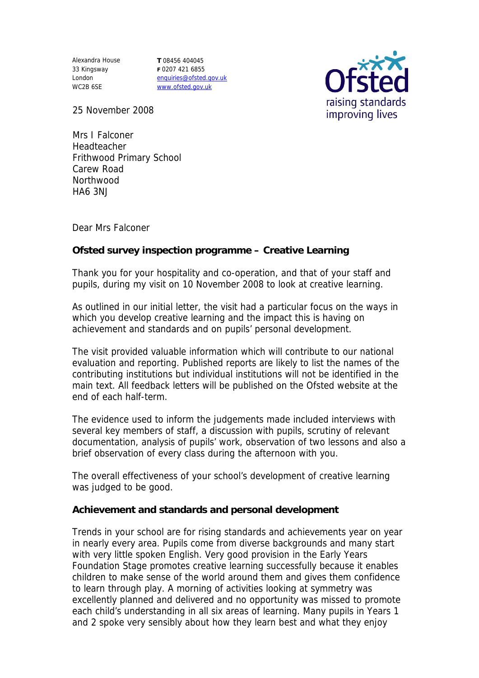33 Kingsway London WC2B 6SE

Alexandra House **T** 08456 404045 **F** 0207 421 6855 enquiries@ofsted.gov.uk www.ofsted.gov.uk



25 November 2008

Mrs I Falconer Headteacher Frithwood Primary School Carew Road Northwood HA6 3NJ

Dear Mrs Falconer

**Ofsted survey inspection programme – Creative Learning**

Thank you for your hospitality and co-operation, and that of your staff and pupils, during my visit on 10 November 2008 to look at creative learning.

As outlined in our initial letter, the visit had a particular focus on the ways in which you develop creative learning and the impact this is having on achievement and standards and on pupils' personal development.

The visit provided valuable information which will contribute to our national evaluation and reporting. Published reports are likely to list the names of the contributing institutions but individual institutions will not be identified in the main text. All feedback letters will be published on the Ofsted website at the end of each half-term.

The evidence used to inform the judgements made included interviews with several key members of staff, a discussion with pupils, scrutiny of relevant documentation, analysis of pupils' work, observation of two lessons and also a brief observation of every class during the afternoon with you.

The overall effectiveness of your school's development of creative learning was judged to be good.

**Achievement and standards and personal development**

Trends in your school are for rising standards and achievements year on year in nearly every area. Pupils come from diverse backgrounds and many start with very little spoken English. Very good provision in the Early Years Foundation Stage promotes creative learning successfully because it enables children to make sense of the world around them and gives them confidence to learn through play. A morning of activities looking at symmetry was excellently planned and delivered and no opportunity was missed to promote each child's understanding in all six areas of learning. Many pupils in Years 1 and 2 spoke very sensibly about how they learn best and what they enjoy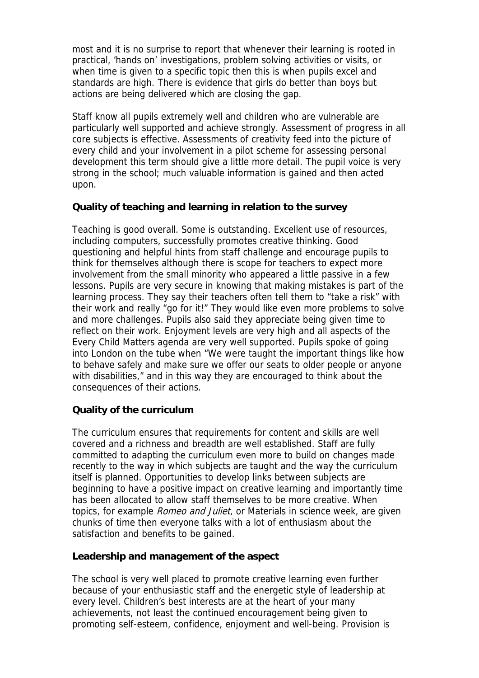most and it is no surprise to report that whenever their learning is rooted in practical, 'hands on' investigations, problem solving activities or visits, or when time is given to a specific topic then this is when pupils excel and standards are high. There is evidence that girls do better than boys but actions are being delivered which are closing the gap.

Staff know all pupils extremely well and children who are vulnerable are particularly well supported and achieve strongly. Assessment of progress in all core subjects is effective. Assessments of creativity feed into the picture of every child and your involvement in a pilot scheme for assessing personal development this term should give a little more detail. The pupil voice is very strong in the school; much valuable information is gained and then acted upon.

## **Quality of teaching and learning in relation to the survey**

Teaching is good overall. Some is outstanding. Excellent use of resources, including computers, successfully promotes creative thinking. Good questioning and helpful hints from staff challenge and encourage pupils to think for themselves although there is scope for teachers to expect more involvement from the small minority who appeared a little passive in a few lessons. Pupils are very secure in knowing that making mistakes is part of the learning process. They say their teachers often tell them to "take a risk" with their work and really "go for it!" They would like even more problems to solve and more challenges. Pupils also said they appreciate being given time to reflect on their work. Enjoyment levels are very high and all aspects of the Every Child Matters agenda are very well supported. Pupils spoke of going into London on the tube when "We were taught the important things like how to behave safely and make sure we offer our seats to older people or anyone with disabilities," and in this way they are encouraged to think about the consequences of their actions.

## **Quality of the curriculum**

The curriculum ensures that requirements for content and skills are well covered and a richness and breadth are well established. Staff are fully committed to adapting the curriculum even more to build on changes made recently to the way in which subjects are taught and the way the curriculum itself is planned. Opportunities to develop links between subjects are beginning to have a positive impact on creative learning and importantly time has been allocated to allow staff themselves to be more creative. When topics, for example *Romeo and Juliet*, or Materials in science week, are given chunks of time then everyone talks with a lot of enthusiasm about the satisfaction and benefits to be gained.

## **Leadership and management of the aspect**

The school is very well placed to promote creative learning even further because of your enthusiastic staff and the energetic style of leadership at every level. Children's best interests are at the heart of your many achievements, not least the continued encouragement being given to promoting self-esteem, confidence, enjoyment and well-being. Provision is